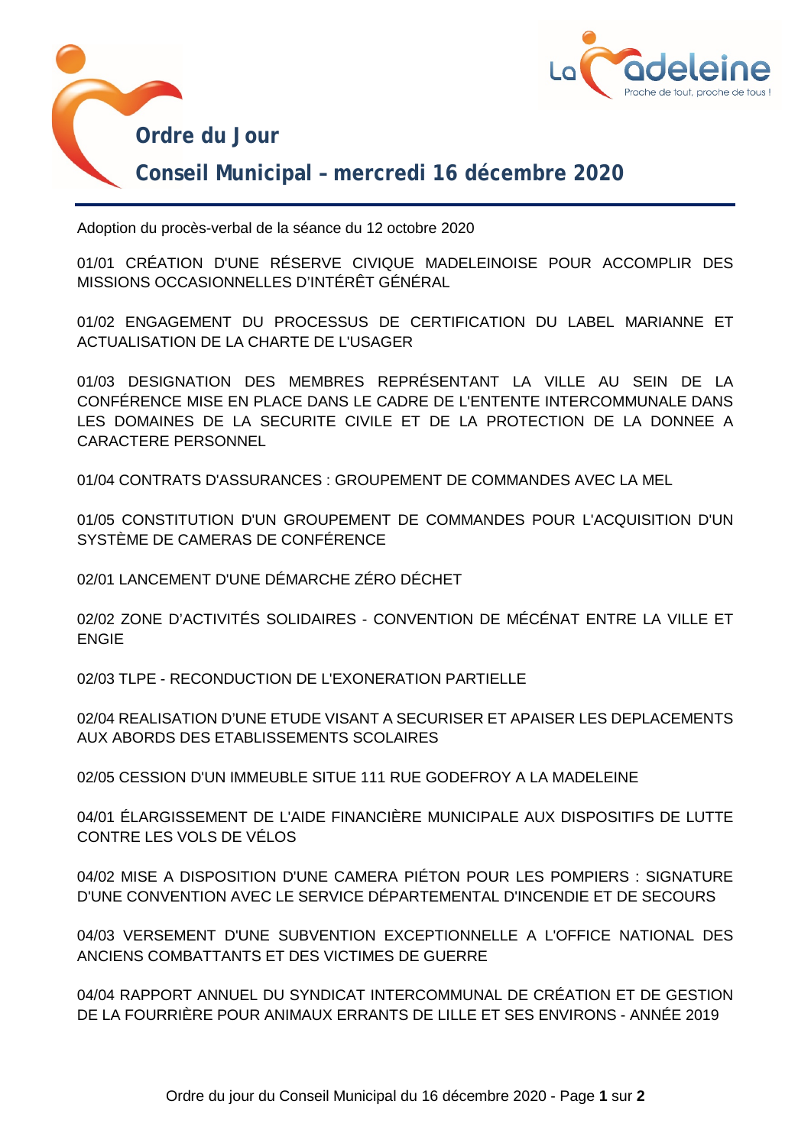



## **Conseil Municipal – mercredi 16 décembre 2020**

Adoption du procès-verbal de la séance du 12 octobre 2020

01/01 CRÉATION D'UNE RÉSERVE CIVIQUE MADELEINOISE POUR ACCOMPLIR DES MISSIONS OCCASIONNELLES D'INTÉRÊT GÉNÉRAL

01/02 ENGAGEMENT DU PROCESSUS DE CERTIFICATION DU LABEL MARIANNE ET ACTUALISATION DE LA CHARTE DE L'USAGER

01/03 DESIGNATION DES MEMBRES REPRÉSENTANT LA VILLE AU SEIN DE LA CONFÉRENCE MISE EN PLACE DANS LE CADRE DE L'ENTENTE INTERCOMMUNALE DANS LES DOMAINES DE LA SECURITE CIVILE ET DE LA PROTECTION DE LA DONNEE A CARACTERE PERSONNEL

01/04 CONTRATS D'ASSURANCES : GROUPEMENT DE COMMANDES AVEC LA MEL

01/05 CONSTITUTION D'UN GROUPEMENT DE COMMANDES POUR L'ACQUISITION D'UN SYSTÈME DE CAMERAS DE CONFÉRENCE

02/01 LANCEMENT D'UNE DÉMARCHE ZÉRO DÉCHET

02/02 ZONE D'ACTIVITÉS SOLIDAIRES - CONVENTION DE MÉCÉNAT ENTRE LA VILLE ET ENGIE

02/03 TLPE - RECONDUCTION DE L'EXONERATION PARTIELLE

02/04 REALISATION D'UNE ETUDE VISANT A SECURISER ET APAISER LES DEPLACEMENTS AUX ABORDS DES ETABLISSEMENTS SCOLAIRES

02/05 CESSION D'UN IMMEUBLE SITUE 111 RUE GODEFROY A LA MADELEINE

04/01 ÉLARGISSEMENT DE L'AIDE FINANCIÈRE MUNICIPALE AUX DISPOSITIFS DE LUTTE CONTRE LES VOLS DE VÉLOS

04/02 MISE A DISPOSITION D'UNE CAMERA PIÉTON POUR LES POMPIERS : SIGNATURE D'UNE CONVENTION AVEC LE SERVICE DÉPARTEMENTAL D'INCENDIE ET DE SECOURS

04/03 VERSEMENT D'UNE SUBVENTION EXCEPTIONNELLE A L'OFFICE NATIONAL DES ANCIENS COMBATTANTS ET DES VICTIMES DE GUERRE

04/04 RAPPORT ANNUEL DU SYNDICAT INTERCOMMUNAL DE CRÉATION ET DE GESTION DE LA FOURRIÈRE POUR ANIMAUX ERRANTS DE LILLE ET SES ENVIRONS - ANNÉE 2019